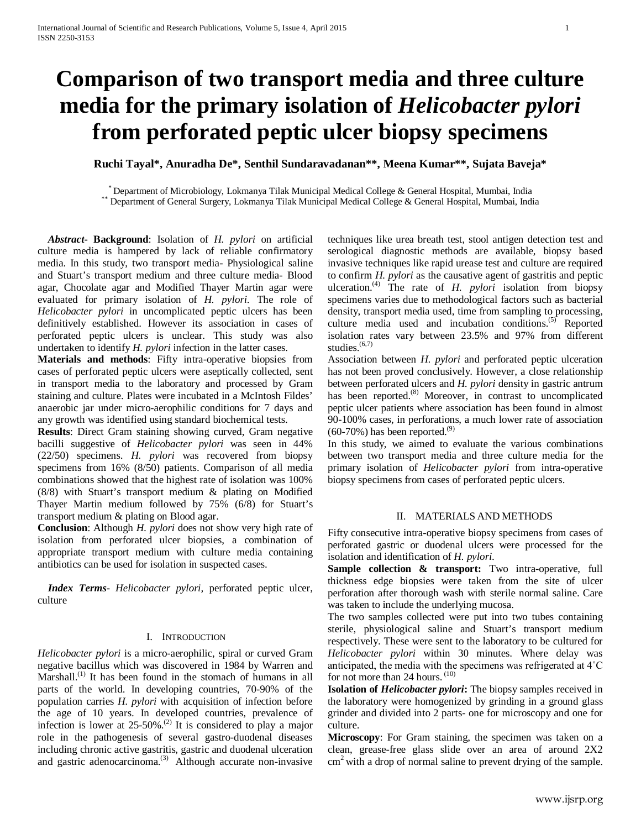# **Comparison of two transport media and three culture media for the primary isolation of** *Helicobacter pylori* **from perforated peptic ulcer biopsy specimens**

**Ruchi Tayal\*, Anuradha De\*, Senthil Sundaravadanan\*\*, Meena Kumar\*\*, Sujata Baveja\***

\* Department of Microbiology, Lokmanya Tilak Municipal Medical College & General Hospital, Mumbai, India \*\* Department of General Surgery, Lokmanya Tilak Municipal Medical College & General Hospital, Mumbai, India

 *Abstract***- Background**: Isolation of *H. pylori* on artificial culture media is hampered by lack of reliable confirmatory media. In this study, two transport media- Physiological saline and Stuart's transport medium and three culture media- Blood agar, Chocolate agar and Modified Thayer Martin agar were evaluated for primary isolation of *H. pylori*. The role of *Helicobacter pylori* in uncomplicated peptic ulcers has been definitively established. However its association in cases of perforated peptic ulcers is unclear. This study was also undertaken to identify *H. pylori* infection in the latter cases.

**Materials and methods**: Fifty intra-operative biopsies from cases of perforated peptic ulcers were aseptically collected, sent in transport media to the laboratory and processed by Gram staining and culture. Plates were incubated in a McIntosh Fildes' anaerobic jar under micro-aerophilic conditions for 7 days and any growth was identified using standard biochemical tests.

**Results**: Direct Gram staining showing curved, Gram negative bacilli suggestive of *Helicobacter pylori* was seen in 44% (22/50) specimens. *H. pylori* was recovered from biopsy specimens from 16% (8/50) patients. Comparison of all media combinations showed that the highest rate of isolation was 100% (8/8) with Stuart's transport medium & plating on Modified Thayer Martin medium followed by 75% (6/8) for Stuart's transport medium & plating on Blood agar.

**Conclusion**: Although *H. pylori* does not show very high rate of isolation from perforated ulcer biopsies, a combination of appropriate transport medium with culture media containing antibiotics can be used for isolation in suspected cases.

 *Index Terms*- *Helicobacter pylori,* perforated peptic ulcer, culture

#### I. INTRODUCTION

*Helicobacter pylori* is a micro-aerophilic, spiral or curved Gram negative bacillus which was discovered in 1984 by Warren and Marshall.<sup>(1)</sup> It has been found in the stomach of humans in all parts of the world. In developing countries, 70-90% of the population carries *H. pylori* with acquisition of infection before the age of 10 years. In developed countries, prevalence of infection is lower at  $25{\text -}50\%$ .<sup>(2)</sup> It is considered to play a major role in the pathogenesis of several gastro-duodenal diseases including chronic active gastritis, gastric and duodenal ulceration and gastric adenocarcinoma.<sup>(3)</sup> Although accurate non-invasive techniques like urea breath test, stool antigen detection test and serological diagnostic methods are available, biopsy based invasive techniques like rapid urease test and culture are required to confirm *H. pylori* as the causative agent of gastritis and peptic ulceration.(4) The rate of *H. pylori* isolation from biopsy specimens varies due to methodological factors such as bacterial density, transport media used, time from sampling to processing, culture media used and incubation conditions.<sup>(5)</sup> Reported isolation rates vary between 23.5% and 97% from different studies.<sup>(6,7)</sup>

Association between *H. pylori* and perforated peptic ulceration has not been proved conclusively. However, a close relationship between perforated ulcers and *H. pylori* density in gastric antrum has been reported.<sup>(8)</sup> Moreover, in contrast to uncomplicated peptic ulcer patients where association has been found in almost 90-100% cases, in perforations, a much lower rate of association  $(60-70%)$  has been reported.<sup>(9)</sup>

In this study, we aimed to evaluate the various combinations between two transport media and three culture media for the primary isolation of *Helicobacter pylori* from intra-operative biopsy specimens from cases of perforated peptic ulcers.

#### II. MATERIALS AND METHODS

Fifty consecutive intra-operative biopsy specimens from cases of perforated gastric or duodenal ulcers were processed for the isolation and identification of *H. pylori*.

**Sample collection & transport:** Two intra-operative, full thickness edge biopsies were taken from the site of ulcer perforation after thorough wash with sterile normal saline. Care was taken to include the underlying mucosa.

The two samples collected were put into two tubes containing sterile, physiological saline and Stuart's transport medium respectively. These were sent to the laboratory to be cultured for *Helicobacter pylori* within 30 minutes. Where delay was anticipated, the media with the specimens was refrigerated at 4˚C for not more than 24 hours.<sup>(10)</sup>

**Isolation of** *Helicobacter pylori***:** The biopsy samples received in the laboratory were homogenized by grinding in a ground glass grinder and divided into 2 parts- one for microscopy and one for culture.

**Microscopy**: For Gram staining, the specimen was taken on a clean, grease-free glass slide over an area of around 2X2 cm2 with a drop of normal saline to prevent drying of the sample.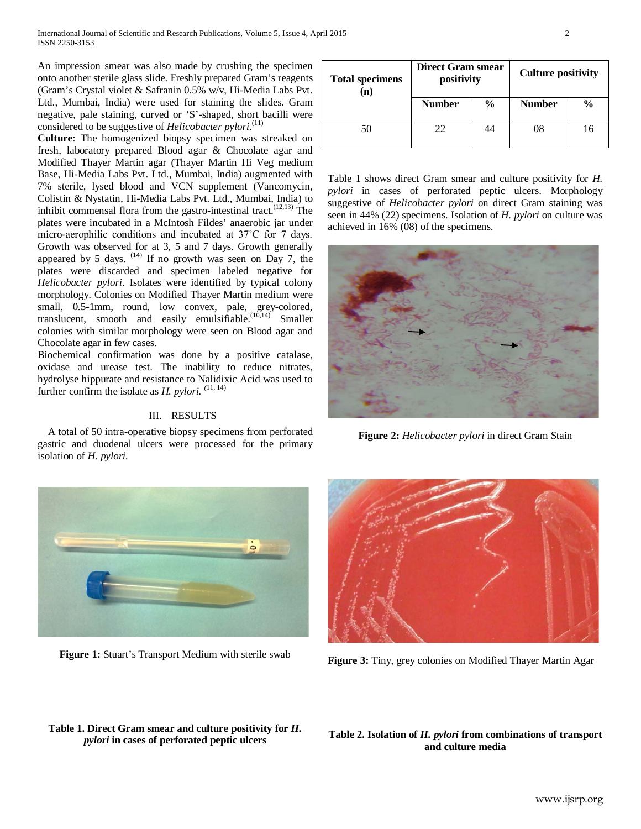An impression smear was also made by crushing the specimen onto another sterile glass slide. Freshly prepared Gram's reagents (Gram's Crystal violet & Safranin 0.5% w/v, Hi-Media Labs Pvt. Ltd., Mumbai, India) were used for staining the slides. Gram negative, pale staining, curved or 'S'-shaped, short bacilli were considered to be suggestive of *Helicobacter pylori*.<sup>(11)</sup>

**Culture**: The homogenized biopsy specimen was streaked on fresh, laboratory prepared Blood agar & Chocolate agar and Modified Thayer Martin agar (Thayer Martin Hi Veg medium Base, Hi-Media Labs Pvt. Ltd., Mumbai, India) augmented with 7% sterile, lysed blood and VCN supplement (Vancomycin, Colistin & Nystatin, Hi-Media Labs Pvt. Ltd., Mumbai, India) to inhibit commensal flora from the gastro-intestinal tract.(12,13) The plates were incubated in a McIntosh Fildes' anaerobic jar under micro-aerophilic conditions and incubated at 37˚C for 7 days. Growth was observed for at 3, 5 and 7 days. Growth generally appeared by 5 days.  $(14)$  If no growth was seen on Day 7, the plates were discarded and specimen labeled negative for *Helicobacter pylori*. Isolates were identified by typical colony morphology. Colonies on Modified Thayer Martin medium were small, 0.5-1mm, round, low convex, pale, grey-colored, translucent, smooth and easily emulsifiable.<sup> $(10,14)$ </sup> Smaller colonies with similar morphology were seen on Blood agar and Chocolate agar in few cases.

Biochemical confirmation was done by a positive catalase, oxidase and urease test. The inability to reduce nitrates, hydrolyse hippurate and resistance to Nalidixic Acid was used to further confirm the isolate as *H. pylori. (*11, 14)

### III. RESULTS

 A total of 50 intra-operative biopsy specimens from perforated gastric and duodenal ulcers were processed for the primary isolation of *H. pylori.* 



**Figure 1:** Stuart's Transport Medium with sterile swab

# **Total specimens (n) Direct Gram smear positivity Culture positivity Number % Number %** 50 22 44 08 16

Table 1 shows direct Gram smear and culture positivity for *H. pylori* in cases of perforated peptic ulcers. Morphology suggestive of *Helicobacter pylori* on direct Gram staining was seen in 44% (22) specimens. Isolation of *H. pylori* on culture was achieved in 16% (08) of the specimens.



**Figure 2:** *Helicobacter pylori* in direct Gram Stain



**Figure 3:** Tiny, grey colonies on Modified Thayer Martin Agar

## **Table 1. Direct Gram smear and culture positivity for** *H. pylori* **in cases of perforated peptic ulcers**

#### **Table 2. Isolation of** *H. pylori* **from combinations of transport and culture media**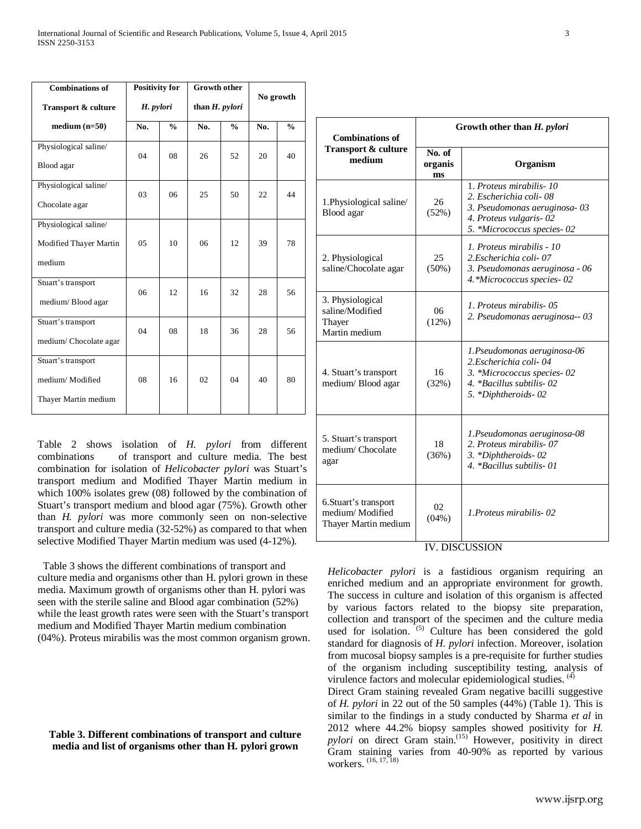| <b>Combinations of</b> | <b>Positivity for</b> |               | <b>Growth other</b> |               | No growth |               |
|------------------------|-----------------------|---------------|---------------------|---------------|-----------|---------------|
| Transport & culture    | H. pylori             |               | than $H.$ pylori    |               |           |               |
| $median(n=50)$         | No.                   | $\frac{0}{0}$ | No.                 | $\frac{0}{0}$ | No.       | $\frac{0}{0}$ |
| Physiological saline/  | 04                    | 08            | 26                  | 52            | 20        | 40            |
| Blood agar             |                       |               |                     |               |           |               |
| Physiological saline/  | 03                    | 06            | 25                  | 50            | 22        | 44            |
| Chocolate agar         |                       |               |                     |               |           |               |
| Physiological saline/  |                       |               |                     |               |           |               |
| Modified Thayer Martin | 0 <sub>5</sub>        | 10            | 06                  | 12            | 39        | 78            |
| medium                 |                       |               |                     |               |           |               |
| Stuart's transport     | 06                    | 12            | 16                  | 32            | 28        | 56            |
| medium/Blood agar      |                       |               |                     |               |           |               |
| Stuart's transport     | 04                    | 08            | 18                  | 36            | 28        | 56            |
| medium/Chocolate agar  |                       |               |                     |               |           |               |
| Stuart's transport     |                       |               |                     |               |           |               |
| medium/Modified        | 08                    | 16            | 02                  | 04            | 40        | 80            |
| Thayer Martin medium   |                       |               |                     |               |           |               |

Table 2 shows isolation of *H. pylori* from different combinations of transport and culture media. The best combination for isolation of *Helicobacter pylori* was Stuart's transport medium and Modified Thayer Martin medium in which 100% isolates grew (08) followed by the combination of Stuart's transport medium and blood agar (75%). Growth other than *H. pylori* was more commonly seen on non-selective transport and culture media (32-52%) as compared to that when selective Modified Thayer Martin medium was used (4-12%).

 Table 3 shows the different combinations of transport and culture media and organisms other than H. pylori grown in these media. Maximum growth of organisms other than H. pylori was seen with the sterile saline and Blood agar combination (52%) while the least growth rates were seen with the Stuart's transport medium and Modified Thayer Martin medium combination (04%). Proteus mirabilis was the most common organism grown.

#### **Table 3. Different combinations of transport and culture media and list of organisms other than H. pylori grown**

| <b>Combinations of</b>                                           | Growth other than H. pylori |                                                                                                                                           |  |  |
|------------------------------------------------------------------|-----------------------------|-------------------------------------------------------------------------------------------------------------------------------------------|--|--|
| Transport & culture<br>medium                                    | No. of<br>organis<br>ms     | Organism                                                                                                                                  |  |  |
| 1. Physiological saline/<br>Blood agar                           | 26<br>(52%)                 | 1. Proteus mirabilis-10<br>2. Escherichia coli-08<br>3. Pseudomonas aeruginosa-03<br>4. Proteus vulgaris-02<br>5. *Micrococcus species-02 |  |  |
| 2. Physiological<br>saline/Chocolate agar                        | 25<br>$(50\%)$              | 1. Proteus mirabilis - 10<br>2.Escherichia coli- 07<br>3. Pseudomonas aeruginosa - 06<br>4. *Micrococcus species - 02                     |  |  |
| 3. Physiological<br>saline/Modified<br>Thayer<br>Martin medium   | 06<br>(12%)                 | 1. Proteus mirabilis-05<br>2. Pseudomonas aeruginosa-- 03                                                                                 |  |  |
| 4. Stuart's transport<br>medium/Blood agar                       | 16<br>(32%)                 | 1. Pseudomonas aeruginosa-06<br>2. Escherichia coli-04<br>3. *Micrococcus species-02<br>4. *Bacillus subtilis-02<br>5. *Diphtheroids-02   |  |  |
| 5. Stuart's transport<br>medium/Chocolate<br>agar                | 18<br>(36%)                 | 1. Pseudomonas aeruginosa-08<br>2. Proteus mirabilis-07<br>3. *Diphtheroids-02<br>4. *Bacillus subtilis-01                                |  |  |
| 6. Stuart's transport<br>medium/Modified<br>Thayer Martin medium | 02<br>(04%)                 | 1. Proteus mirabilis - 02                                                                                                                 |  |  |

# IV. DISCUSSION

*Helicobacter pylori* is a fastidious organism requiring an enriched medium and an appropriate environment for growth. The success in culture and isolation of this organism is affected by various factors related to the biopsy site preparation, collection and transport of the specimen and the culture media used for isolation.  $(5)$  Culture has been considered the gold standard for diagnosis of *H. pylori* infection. Moreover, isolation from mucosal biopsy samples is a pre-requisite for further studies of the organism including susceptibility testing, analysis of virulence factors and molecular epidemiological studies. (4)

Direct Gram staining revealed Gram negative bacilli suggestive of *H. pylori* in 22 out of the 50 samples (44%) (Table 1). This is similar to the findings in a study conducted by Sharma *et al* in 2012 where 44.2% biopsy samples showed positivity for *H. pylori* on direct Gram stain.<sup>(15)</sup> However, positivity in direct Gram staining varies from 40-90% as reported by various workers.  $(16, 17, 18)$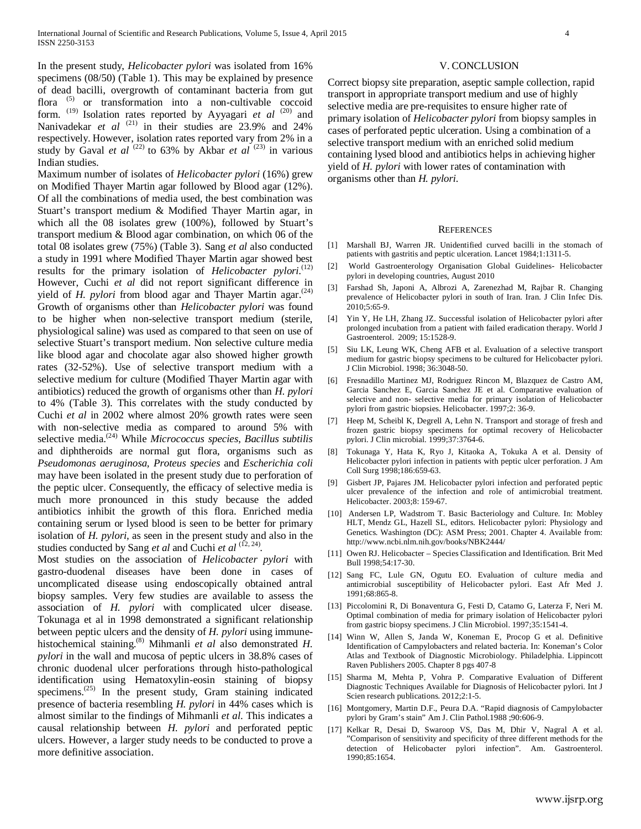In the present study, *Helicobacter pylori* was isolated from 16% specimens (08/50) (Table 1). This may be explained by presence of dead bacilli, overgrowth of contaminant bacteria from gut flora  $(5)$  or transformation into a non-cultivable coccoid form. (19) Isolation rates reported by Ayyagari *et al* (20) and Nanivadekar *et al* <sup>(21)</sup> in their studies are 23.9% and 24% respectively. However, isolation rates reported vary from 2% in a study by Gaval *et al*  $(22)$  to 63% by Akbar *et al*  $(23)$  in various Indian studies.

Maximum number of isolates of *Helicobacter pylori* (16%) grew on Modified Thayer Martin agar followed by Blood agar (12%). Of all the combinations of media used, the best combination was Stuart's transport medium & Modified Thayer Martin agar, in which all the 08 isolates grew (100%), followed by Stuart's transport medium & Blood agar combination, on which 06 of the total 08 isolates grew (75%) (Table 3). Sang *et al* also conducted a study in 1991 where Modified Thayer Martin agar showed best results for the primary isolation of *Helicobacter pylori.*<sup>(12)</sup> However, Cuchi *et al* did not report significant difference in yield of *H. pylori* from blood agar and Thayer Martin agar.<sup>(24)</sup> Growth of organisms other than *Helicobacter pylori* was found to be higher when non-selective transport medium (sterile, physiological saline) was used as compared to that seen on use of selective Stuart's transport medium. Non selective culture media like blood agar and chocolate agar also showed higher growth rates (32-52%). Use of selective transport medium with a selective medium for culture (Modified Thayer Martin agar with antibiotics) reduced the growth of organisms other than *H. pylori*  to 4% (Table 3). This correlates with the study conducted by Cuchi *et al* in 2002 where almost 20% growth rates were seen with non-selective media as compared to around 5% with selective media.(24) While *Micrococcus species*, *Bacillus subtilis* and diphtheroids are normal gut flora, organisms such as *Pseudomonas aeruginosa, Proteus species* and *Escherichia coli* may have been isolated in the present study due to perforation of the peptic ulcer. Consequently, the efficacy of selective media is much more pronounced in this study because the added antibiotics inhibit the growth of this flora. Enriched media containing serum or lysed blood is seen to be better for primary isolation of *H. pylori,* as seen in the present study and also in the studies conducted by Sang *et al* and Cuchi *et al* <sup>(12, 24)</sup>.

Most studies on the association of *Helicobacter pylori* with gastro-duodenal diseases have been done in cases of uncomplicated disease using endoscopically obtained antral biopsy samples. Very few studies are available to assess the association of *H. pylori* with complicated ulcer disease. Tokunaga et al in 1998 demonstrated a significant relationship between peptic ulcers and the density of *H. pylori* using immunehistochemical staining.(8) Mihmanli *et al* also demonstrated *H. pylori* in the wall and mucosa of peptic ulcers in 38.8% cases of chronic duodenal ulcer perforations through histo-pathological identification using Hematoxylin-eosin staining of biopsy specimens. $^{(25)}$  In the present study, Gram staining indicated presence of bacteria resembling *H. pylori* in 44% cases which is almost similar to the findings of Mihmanli *et al*. This indicates a causal relationship between *H. pylori* and perforated peptic ulcers. However, a larger study needs to be conducted to prove a more definitive association.

#### V. CONCLUSION

Correct biopsy site preparation, aseptic sample collection, rapid transport in appropriate transport medium and use of highly selective media are pre-requisites to ensure higher rate of primary isolation of *Helicobacter pylori* from biopsy samples in cases of perforated peptic ulceration. Using a combination of a selective transport medium with an enriched solid medium containing lysed blood and antibiotics helps in achieving higher yield of *H. pylori* with lower rates of contamination with organisms other than *H. pylori.* 

#### **REFERENCES**

- [1] Marshall BJ, Warren JR. Unidentified curved bacilli in the stomach of patients with gastritis and peptic ulceration. Lancet 1984;1:1311-5.
- [2] World Gastroenterology Organisation Global Guidelines- Helicobacter pylori in developing countries, August 2010
- [3] Farshad Sh, Japoni A, Albrozi A, Zarenezhad M, Rajbar R. Changing prevalence of Helicobacter pylori in south of Iran. Iran. J Clin Infec Dis. 2010;5:65-9.
- [4] Yin Y, He LH, Zhang JZ. Successful isolation of Helicobacter pylori after prolonged incubation from a patient with failed eradication therapy. World J Gastroenterol. 2009; 15:1528-9.
- [5] Siu LK, Leung WK, Cheng AFB et al. Evaluation of a selective transport medium for gastric biopsy specimens to be cultured for Helicobacter pylori. J Clin Microbiol. 1998; 36:3048-50.
- [6] Fresnadillo Martinez MJ, Rodriguez Rincon M, Blazquez de Castro AM, Garcia Sanchez E, Garcia Sanchez JE et al. Comparative evaluation of selective and non- selective media for primary isolation of Helicobacter pylori from gastric biopsies. Helicobacter. 1997;2: 36-9.
- [7] Heep M, Scheibl K, Degrell A, Lehn N. Transport and storage of fresh and frozen gastric biopsy specimens for optimal recovery of Helicobacter pylori. J Clin microbial. 1999;37:3764-6.
- [8] Tokunaga Y, Hata K, Ryo J, Kitaoka A, Tokuka A et al. Density of Helicobacter pylori infection in patients with peptic ulcer perforation. J Am Coll Surg 1998;186:659-63.
- [9] Gisbert JP, Pajares JM. Helicobacter pylori infection and perforated peptic ulcer prevalence of the infection and role of antimicrobial treatment. Helicobacter. 2003;8: 159-67.
- [10] Andersen LP, Wadstrom T. Basic Bacteriology and Culture. In: Mobley HLT, Mendz GL, Hazell SL, editors. Helicobacter pylori: Physiology and Genetics. Washington (DC): ASM Press; 2001. Chapter 4. Available from: http://www.ncbi.nlm.nih.gov/books/NBK2444/
- [11] Owen RJ. Helicobacter Species Classification and Identification. Brit Med Bull 1998;54:17-30.
- [12] Sang FC, Lule GN, Ogutu EO. Evaluation of culture media and antimicrobial susceptibility of Helicobacter pylori. East Afr Med J. 1991;68:865-8.
- [13] Piccolomini R, Di Bonaventura G, Festi D, Catamo G, Laterza F, Neri M. Optimal combination of media for primary isolation of Helicobacter pylori from gastric biopsy specimens. J Clin Microbiol. 1997;35:1541-4.
- [14] Winn W, Allen S, Janda W, Koneman E, Procop G et al. Definitive Identification of Campylobacters and related bacteria. In: Koneman's Color Atlas and Textbook of Diagnostic Microbiology. Philadelphia. Lippincott Raven Publishers 2005. Chapter 8 pgs 407-8
- [15] Sharma M, Mehta P, Vohra P. Comparative Evaluation of Different Diagnostic Techniques Available for Diagnosis of Helicobacter pylori. Int J Scien research publications. 2012;2:1-5.
- [16] Montgomery, Martin D.F., Peura D.A. "Rapid diagnosis of Campylobacter pylori by Gram's stain" Am J. Clin Pathol.1988 ;90:606-9.
- [17] Kelkar R, Desai D, Swaroop VS, Das M, Dhir V, Nagral A et al. "Comparison of sensitivity and specificity of three different methods for the detection of Helicobacter pylori infection". Am. Gastroenterol. 1990;85:1654.